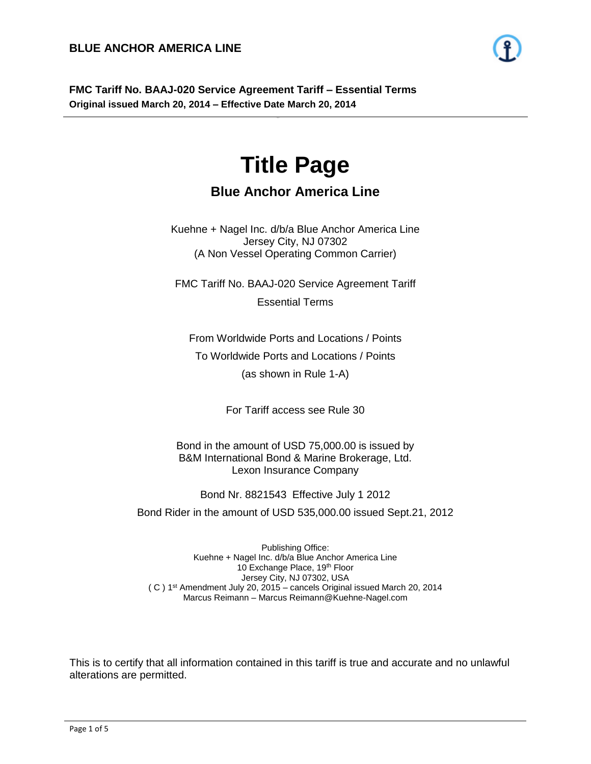

# **Title Page**

- 1 -

## **Blue Anchor America Line**

Kuehne + Nagel Inc. d/b/a Blue Anchor America Line Jersey City, NJ 07302 (A Non Vessel Operating Common Carrier)

FMC Tariff No. BAAJ-020 Service Agreement Tariff Essential Terms

From Worldwide Ports and Locations / Points To Worldwide Ports and Locations / Points (as shown in Rule 1-A)

For Tariff access see Rule 30

Bond in the amount of USD 75,000.00 is issued by B&M International Bond & Marine Brokerage, Ltd. Lexon Insurance Company

Bond Nr. 8821543 Effective July 1 2012

Bond Rider in the amount of USD 535,000.00 issued Sept.21, 2012

Publishing Office: Kuehne + Nagel Inc. d/b/a Blue Anchor America Line 10 Exchange Place, 19th Floor Jersey City, NJ 07302, USA ( C ) 1st Amendment July 20, 2015 – cancels Original issued March 20, 2014 Marcus Reimann – Marcus Reimann@Kuehne-Nagel.com

This is to certify that all information contained in this tariff is true and accurate and no unlawful alterations are permitted.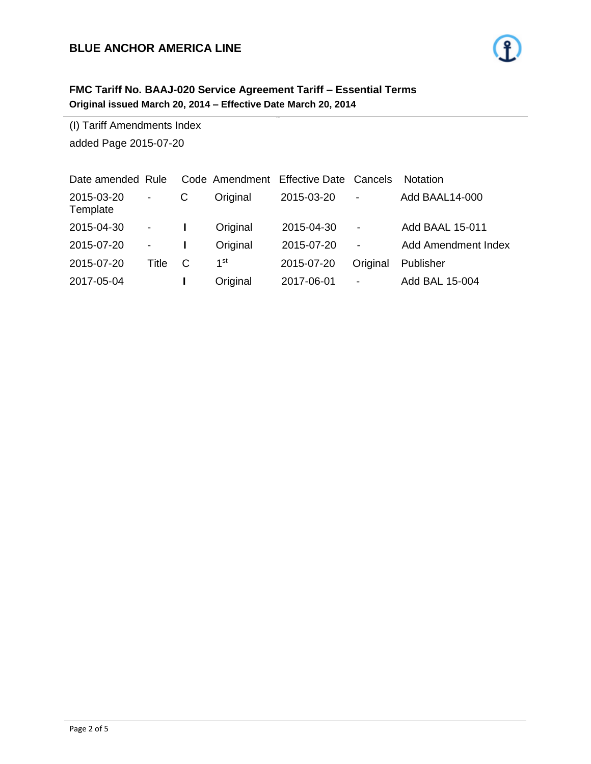### **BLUE ANCHOR AMERICA LINE**

## **FMC Tariff No. BAAJ-020 Service Agreement Tariff – Essential Terms Original issued March 20, 2014 – Effective Date March 20, 2014**

(I) Tariff Amendments Index added Page 2015-07-20

| Date amended Rule      |                          |   |          | Code Amendment Effective Date Cancels |                          | <b>Notation</b>            |
|------------------------|--------------------------|---|----------|---------------------------------------|--------------------------|----------------------------|
| 2015-03-20<br>Template | $\overline{\phantom{a}}$ | C | Original | 2015-03-20                            | $\overline{\phantom{a}}$ | Add BAAL14-000             |
| 2015-04-30             | $\sim 100$               |   | Original | 2015-04-30                            | $\overline{\phantom{a}}$ | <b>Add BAAL 15-011</b>     |
| 2015-07-20             | $\overline{\phantom{a}}$ |   | Original | 2015-07-20                            | $\overline{\phantom{a}}$ | <b>Add Amendment Index</b> |
| 2015-07-20             | Title                    | C | 1st      | 2015-07-20                            | Original                 | Publisher                  |
| 2017-05-04             |                          |   | Original | 2017-06-01                            | $\overline{\phantom{a}}$ | Add BAL 15-004             |

- 2 -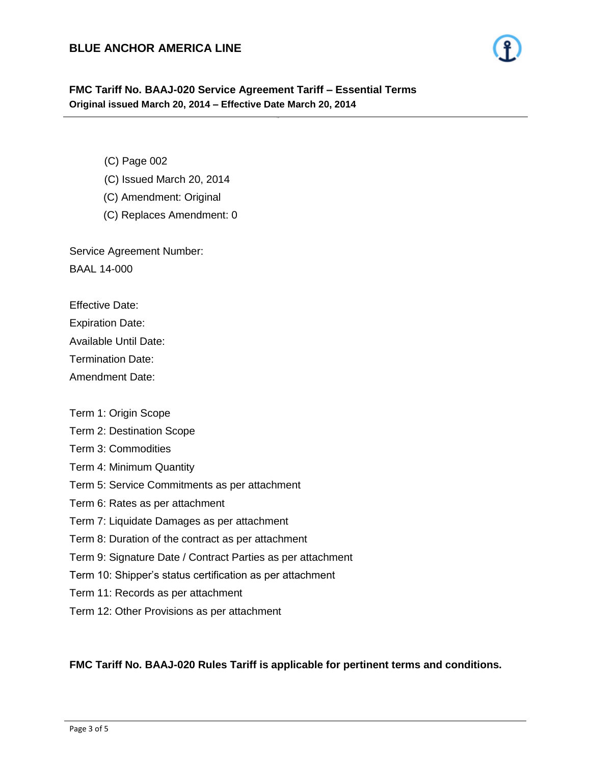- 3 -

- (C) Page 002
- (C) Issued March 20, 2014
- (C) Amendment: Original
- (C) Replaces Amendment: 0

Service Agreement Number: BAAL 14-000

Effective Date:

Expiration Date:

Available Until Date:

Termination Date:

Amendment Date:

Term 1: Origin Scope

Term 2: Destination Scope

Term 3: Commodities

- Term 4: Minimum Quantity
- Term 5: Service Commitments as per attachment

Term 6: Rates as per attachment

Term 7: Liquidate Damages as per attachment

Term 8: Duration of the contract as per attachment

Term 9: Signature Date / Contract Parties as per attachment

Term 10: Shipper's status certification as per attachment

- Term 11: Records as per attachment
- Term 12: Other Provisions as per attachment

#### **FMC Tariff No. BAAJ-020 Rules Tariff is applicable for pertinent terms and conditions.**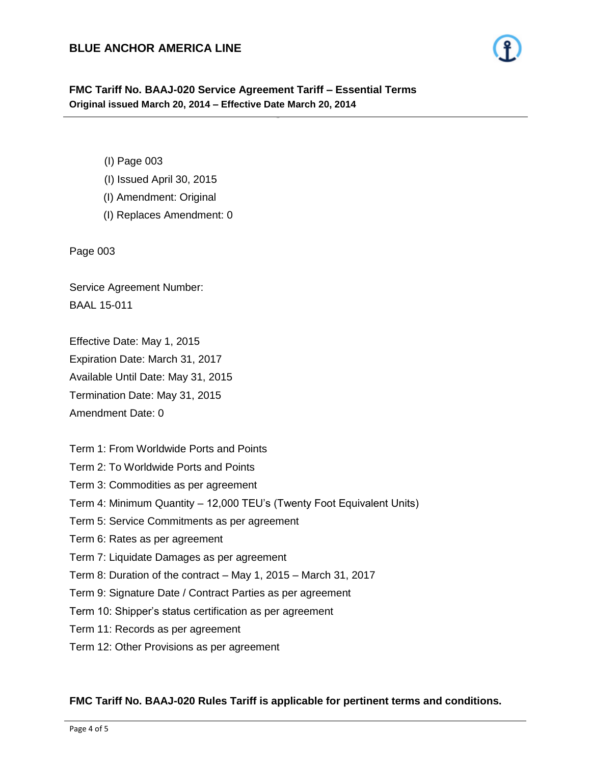- 4 -

- (I) Page 003
- (I) Issued April 30, 2015
- (I) Amendment: Original
- (I) Replaces Amendment: 0

Page 003

Service Agreement Number: BAAL 15-011

Effective Date: May 1, 2015

Expiration Date: March 31, 2017

Available Until Date: May 31, 2015

Termination Date: May 31, 2015

Amendment Date: 0

Term 1: From Worldwide Ports and Points

- Term 2: To Worldwide Ports and Points
- Term 3: Commodities as per agreement
- Term 4: Minimum Quantity 12,000 TEU's (Twenty Foot Equivalent Units)
- Term 5: Service Commitments as per agreement
- Term 6: Rates as per agreement
- Term 7: Liquidate Damages as per agreement
- Term 8: Duration of the contract May 1, 2015 March 31, 2017
- Term 9: Signature Date / Contract Parties as per agreement
- Term 10: Shipper's status certification as per agreement
- Term 11: Records as per agreement
- Term 12: Other Provisions as per agreement

#### **FMC Tariff No. BAAJ-020 Rules Tariff is applicable for pertinent terms and conditions.**